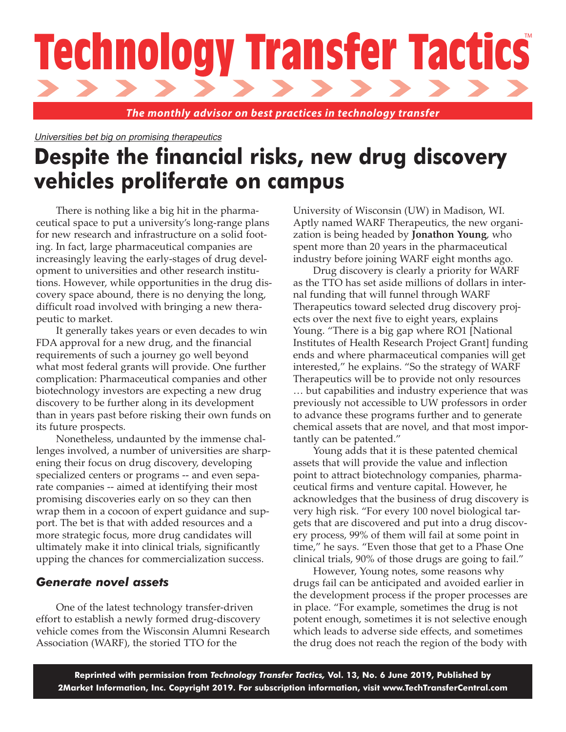# **Technology Transfer Tactics**

*The monthly advisor on best practices in technology transfer*

Universities bet big on promising therapeutics

# **Despite the financial risks, new drug discovery vehicles proliferate on campus**

There is nothing like a big hit in the pharmaceutical space to put a university's long-range plans for new research and infrastructure on a solid footing. In fact, large pharmaceutical companies are increasingly leaving the early-stages of drug development to universities and other research institutions. However, while opportunities in the drug discovery space abound, there is no denying the long, difficult road involved with bringing a new therapeutic to market.

It generally takes years or even decades to win FDA approval for a new drug, and the financial requirements of such a journey go well beyond what most federal grants will provide. One further complication: Pharmaceutical companies and other biotechnology investors are expecting a new drug discovery to be further along in its development than in years past before risking their own funds on its future prospects.

Nonetheless, undaunted by the immense challenges involved, a number of universities are sharpening their focus on drug discovery, developing specialized centers or programs -- and even separate companies -- aimed at identifying their most promising discoveries early on so they can then wrap them in a cocoon of expert guidance and support. The bet is that with added resources and a more strategic focus, more drug candidates will ultimately make it into clinical trials, significantly upping the chances for commercialization success.

### *Generate novel assets*

One of the latest technology transfer-driven effort to establish a newly formed drug-discovery vehicle comes from the Wisconsin Alumni Research Association (WARF), the storied TTO for the

University of Wisconsin (UW) in Madison, WI. Aptly named WARF Therapeutics, the new organization is being headed by **Jonathon Young**, who spent more than 20 years in the pharmaceutical industry before joining WARF eight months ago.

Drug discovery is clearly a priority for WARF as the TTO has set aside millions of dollars in internal funding that will funnel through WARF Therapeutics toward selected drug discovery projects over the next five to eight years, explains Young. "There is a big gap where RO1 [National Institutes of Health Research Project Grant] funding ends and where pharmaceutical companies will get interested," he explains. "So the strategy of WARF Therapeutics will be to provide not only resources … but capabilities and industry experience that was previously not accessible to UW professors in order to advance these programs further and to generate chemical assets that are novel, and that most importantly can be patented."

Young adds that it is these patented chemical assets that will provide the value and inflection point to attract biotechnology companies, pharmaceutical firms and venture capital. However, he acknowledges that the business of drug discovery is very high risk. "For every 100 novel biological targets that are discovered and put into a drug discovery process, 99% of them will fail at some point in time," he says. "Even those that get to a Phase One clinical trials, 90% of those drugs are going to fail."

However, Young notes, some reasons why drugs fail can be anticipated and avoided earlier in the development process if the proper processes are in place. "For example, sometimes the drug is not potent enough, sometimes it is not selective enough which leads to adverse side effects, and sometimes the drug does not reach the region of the body with

**Reprinted with permission from** *Technology Transfer Tactics,* **Vol. 13, No. 6 June 2019, Published by 2Market Information, Inc. Copyright 2019. For subscription information, visit www.TechTransferCentral.com**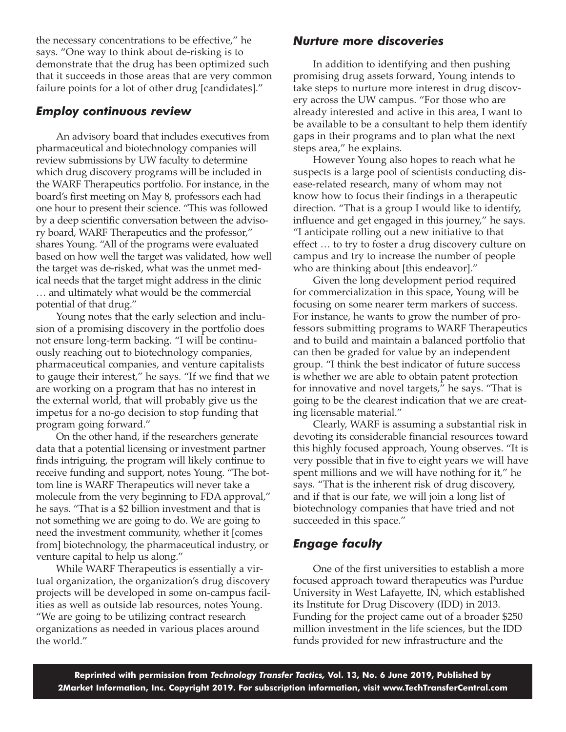the necessary concentrations to be effective," he says. "One way to think about de-risking is to demonstrate that the drug has been optimized such that it succeeds in those areas that are very common failure points for a lot of other drug [candidates]."

## *Employ continuous review*

An advisory board that includes executives from pharmaceutical and biotechnology companies will review submissions by UW faculty to determine which drug discovery programs will be included in the WARF Therapeutics portfolio. For instance, in the board's first meeting on May 8, professors each had one hour to present their science. "This was followed by a deep scientific conversation between the advisory board, WARF Therapeutics and the professor," shares Young. "All of the programs were evaluated based on how well the target was validated, how well the target was de-risked, what was the unmet medical needs that the target might address in the clinic … and ultimately what would be the commercial potential of that drug."

Young notes that the early selection and inclusion of a promising discovery in the portfolio does not ensure long-term backing. "I will be continuously reaching out to biotechnology companies, pharmaceutical companies, and venture capitalists to gauge their interest," he says. "If we find that we are working on a program that has no interest in the external world, that will probably give us the impetus for a no-go decision to stop funding that program going forward."

On the other hand, if the researchers generate data that a potential licensing or investment partner finds intriguing, the program will likely continue to receive funding and support, notes Young. "The bottom line is WARF Therapeutics will never take a molecule from the very beginning to FDA approval," he says. "That is a \$2 billion investment and that is not something we are going to do. We are going to need the investment community, whether it [comes from] biotechnology, the pharmaceutical industry, or venture capital to help us along."

While WARF Therapeutics is essentially a virtual organization, the organization's drug discovery projects will be developed in some on-campus facilities as well as outside lab resources, notes Young. "We are going to be utilizing contract research organizations as needed in various places around the world."

# *Nurture more discoveries*

In addition to identifying and then pushing promising drug assets forward, Young intends to take steps to nurture more interest in drug discovery across the UW campus. "For those who are already interested and active in this area, I want to be available to be a consultant to help them identify gaps in their programs and to plan what the next steps area," he explains.

However Young also hopes to reach what he suspects is a large pool of scientists conducting disease-related research, many of whom may not know how to focus their findings in a therapeutic direction. "That is a group I would like to identify, influence and get engaged in this journey," he says. "I anticipate rolling out a new initiative to that effect … to try to foster a drug discovery culture on campus and try to increase the number of people who are thinking about [this endeavor]."

Given the long development period required for commercialization in this space, Young will be focusing on some nearer term markers of success. For instance, he wants to grow the number of professors submitting programs to WARF Therapeutics and to build and maintain a balanced portfolio that can then be graded for value by an independent group. "I think the best indicator of future success is whether we are able to obtain patent protection for innovative and novel targets," he says. "That is going to be the clearest indication that we are creating licensable material."

Clearly, WARF is assuming a substantial risk in devoting its considerable financial resources toward this highly focused approach, Young observes. "It is very possible that in five to eight years we will have spent millions and we will have nothing for it," he says. "That is the inherent risk of drug discovery, and if that is our fate, we will join a long list of biotechnology companies that have tried and not succeeded in this space."

# *Engage faculty*

One of the first universities to establish a more focused approach toward therapeutics was Purdue University in West Lafayette, IN, which established its Institute for Drug Discovery (IDD) in 2013. Funding for the project came out of a broader \$250 million investment in the life sciences, but the IDD funds provided for new infrastructure and the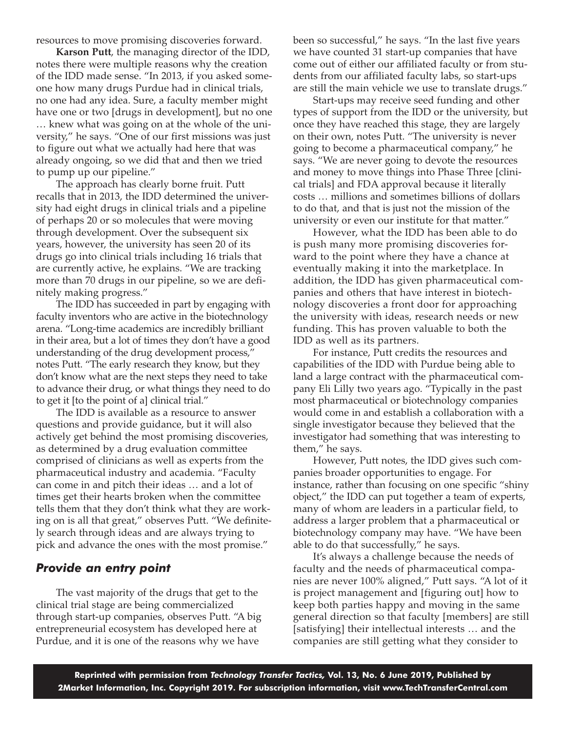resources to move promising discoveries forward.

**Karson Putt**, the managing director of the IDD, notes there were multiple reasons why the creation of the IDD made sense. "In 2013, if you asked someone how many drugs Purdue had in clinical trials, no one had any idea. Sure, a faculty member might have one or two [drugs in development], but no one … knew what was going on at the whole of the university," he says. "One of our first missions was just to figure out what we actually had here that was already ongoing, so we did that and then we tried to pump up our pipeline."

The approach has clearly borne fruit. Putt recalls that in 2013, the IDD determined the university had eight drugs in clinical trials and a pipeline of perhaps 20 or so molecules that were moving through development. Over the subsequent six years, however, the university has seen 20 of its drugs go into clinical trials including 16 trials that are currently active, he explains. "We are tracking more than 70 drugs in our pipeline, so we are definitely making progress."

The IDD has succeeded in part by engaging with faculty inventors who are active in the biotechnology arena. "Long-time academics are incredibly brilliant in their area, but a lot of times they don't have a good understanding of the drug development process," notes Putt. "The early research they know, but they don't know what are the next steps they need to take to advance their drug, or what things they need to do to get it [to the point of a] clinical trial."

The IDD is available as a resource to answer questions and provide guidance, but it will also actively get behind the most promising discoveries, as determined by a drug evaluation committee comprised of clinicians as well as experts from the pharmaceutical industry and academia. "Faculty can come in and pitch their ideas … and a lot of times get their hearts broken when the committee tells them that they don't think what they are working on is all that great," observes Putt. "We definitely search through ideas and are always trying to pick and advance the ones with the most promise."

### *Provide an entry point*

The vast majority of the drugs that get to the clinical trial stage are being commercialized through start-up companies, observes Putt. "A big entrepreneurial ecosystem has developed here at Purdue, and it is one of the reasons why we have

been so successful," he says. "In the last five years we have counted 31 start-up companies that have come out of either our affiliated faculty or from students from our affiliated faculty labs, so start-ups are still the main vehicle we use to translate drugs."

Start-ups may receive seed funding and other types of support from the IDD or the university, but once they have reached this stage, they are largely on their own, notes Putt. "The university is never going to become a pharmaceutical company," he says. "We are never going to devote the resources and money to move things into Phase Three [clinical trials] and FDA approval because it literally costs … millions and sometimes billions of dollars to do that, and that is just not the mission of the university or even our institute for that matter."

However, what the IDD has been able to do is push many more promising discoveries forward to the point where they have a chance at eventually making it into the marketplace. In addition, the IDD has given pharmaceutical companies and others that have interest in biotechnology discoveries a front door for approaching the university with ideas, research needs or new funding. This has proven valuable to both the IDD as well as its partners.

For instance, Putt credits the resources and capabilities of the IDD with Purdue being able to land a large contract with the pharmaceutical company Eli Lilly two years ago. "Typically in the past most pharmaceutical or biotechnology companies would come in and establish a collaboration with a single investigator because they believed that the investigator had something that was interesting to them," he says.

However, Putt notes, the IDD gives such companies broader opportunities to engage. For instance, rather than focusing on one specific "shiny object," the IDD can put together a team of experts, many of whom are leaders in a particular field, to address a larger problem that a pharmaceutical or biotechnology company may have. "We have been able to do that successfully," he says.

It's always a challenge because the needs of faculty and the needs of pharmaceutical companies are never 100% aligned," Putt says. "A lot of it is project management and [figuring out] how to keep both parties happy and moving in the same general direction so that faculty [members] are still [satisfying] their intellectual interests … and the companies are still getting what they consider to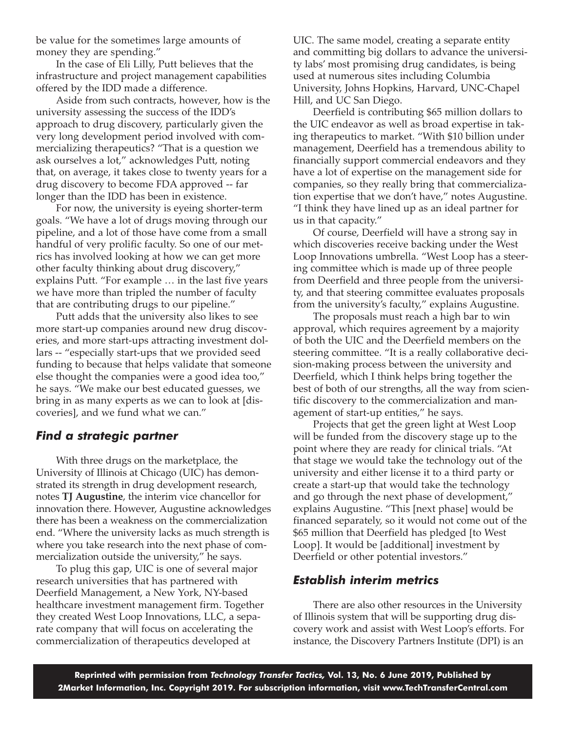be value for the sometimes large amounts of money they are spending."

In the case of Eli Lilly, Putt believes that the infrastructure and project management capabilities offered by the IDD made a difference.

Aside from such contracts, however, how is the university assessing the success of the IDD's approach to drug discovery, particularly given the very long development period involved with commercializing therapeutics? "That is a question we ask ourselves a lot," acknowledges Putt, noting that, on average, it takes close to twenty years for a drug discovery to become FDA approved -- far longer than the IDD has been in existence.

For now, the university is eyeing shorter-term goals. "We have a lot of drugs moving through our pipeline, and a lot of those have come from a small handful of very prolific faculty. So one of our metrics has involved looking at how we can get more other faculty thinking about drug discovery," explains Putt. "For example … in the last five years we have more than tripled the number of faculty that are contributing drugs to our pipeline."

Putt adds that the university also likes to see more start-up companies around new drug discoveries, and more start-ups attracting investment dollars -- "especially start-ups that we provided seed funding to because that helps validate that someone else thought the companies were a good idea too," he says. "We make our best educated guesses, we bring in as many experts as we can to look at [discoveries], and we fund what we can."

### *Find a strategic partner*

With three drugs on the marketplace, the University of Illinois at Chicago (UIC) has demonstrated its strength in drug development research, notes **TJ Augustine**, the interim vice chancellor for innovation there. However, Augustine acknowledges there has been a weakness on the commercialization end. "Where the university lacks as much strength is where you take research into the next phase of commercialization outside the university," he says.

To plug this gap, UIC is one of several major research universities that has partnered with Deerfield Management, a New York, NY-based healthcare investment management firm. Together they created West Loop Innovations, LLC, a separate company that will focus on accelerating the commercialization of therapeutics developed at

UIC. The same model, creating a separate entity and committing big dollars to advance the university labs' most promising drug candidates, is being used at numerous sites including Columbia University, Johns Hopkins, Harvard, UNC-Chapel Hill, and UC San Diego.

Deerfield is contributing \$65 million dollars to the UIC endeavor as well as broad expertise in taking therapeutics to market. "With \$10 billion under management, Deerfield has a tremendous ability to financially support commercial endeavors and they have a lot of expertise on the management side for companies, so they really bring that commercialization expertise that we don't have," notes Augustine. "I think they have lined up as an ideal partner for us in that capacity."

Of course, Deerfield will have a strong say in which discoveries receive backing under the West Loop Innovations umbrella. "West Loop has a steering committee which is made up of three people from Deerfield and three people from the university, and that steering committee evaluates proposals from the university's faculty," explains Augustine.

The proposals must reach a high bar to win approval, which requires agreement by a majority of both the UIC and the Deerfield members on the steering committee. "It is a really collaborative decision-making process between the university and Deerfield, which I think helps bring together the best of both of our strengths, all the way from scientific discovery to the commercialization and management of start-up entities," he says.

Projects that get the green light at West Loop will be funded from the discovery stage up to the point where they are ready for clinical trials. "At that stage we would take the technology out of the university and either license it to a third party or create a start-up that would take the technology and go through the next phase of development," explains Augustine. "This [next phase] would be financed separately, so it would not come out of the \$65 million that Deerfield has pledged [to West Loop]. It would be [additional] investment by Deerfield or other potential investors."

### *Establish interim metrics*

There are also other resources in the University of Illinois system that will be supporting drug discovery work and assist with West Loop's efforts. For instance, the Discovery Partners Institute (DPI) is an